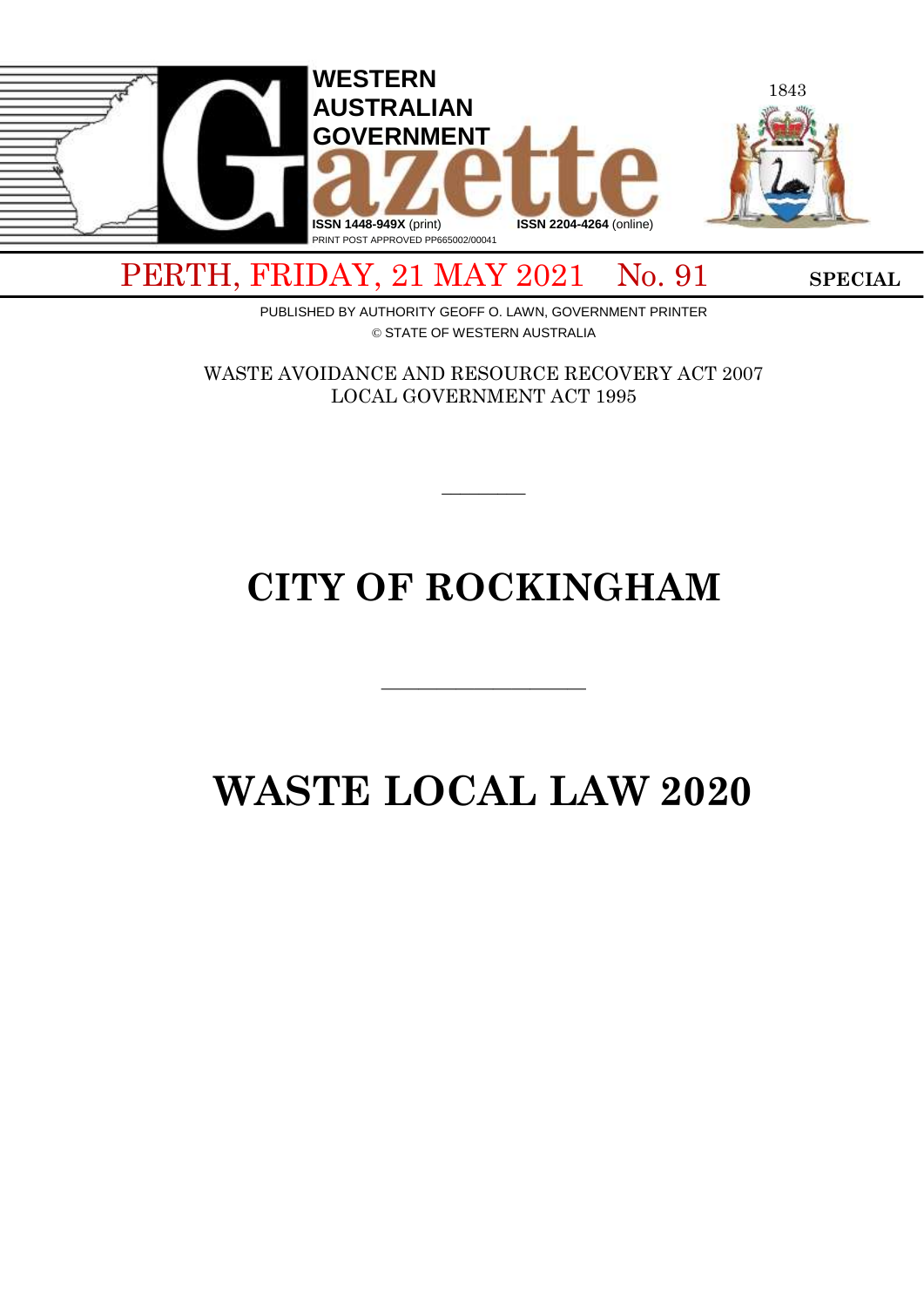

PERTH, FRIDAY, 21 MAY 2021 No. 91 SPECIAL

PUBLISHED BY AUTHORITY GEOFF O. LAWN, GOVERNMENT PRINTER © STATE OF WESTERN AUSTRALIA

WASTE AVOIDANCE AND RESOURCE RECOVERY ACT 2007 LOCAL GOVERNMENT ACT 1995

 $\overline{\phantom{a}}$ 

# **CITY OF ROCKINGHAM**

# **WASTE LOCAL LAW 2020**

 $\overline{\phantom{a}}$  , and the contract of  $\overline{\phantom{a}}$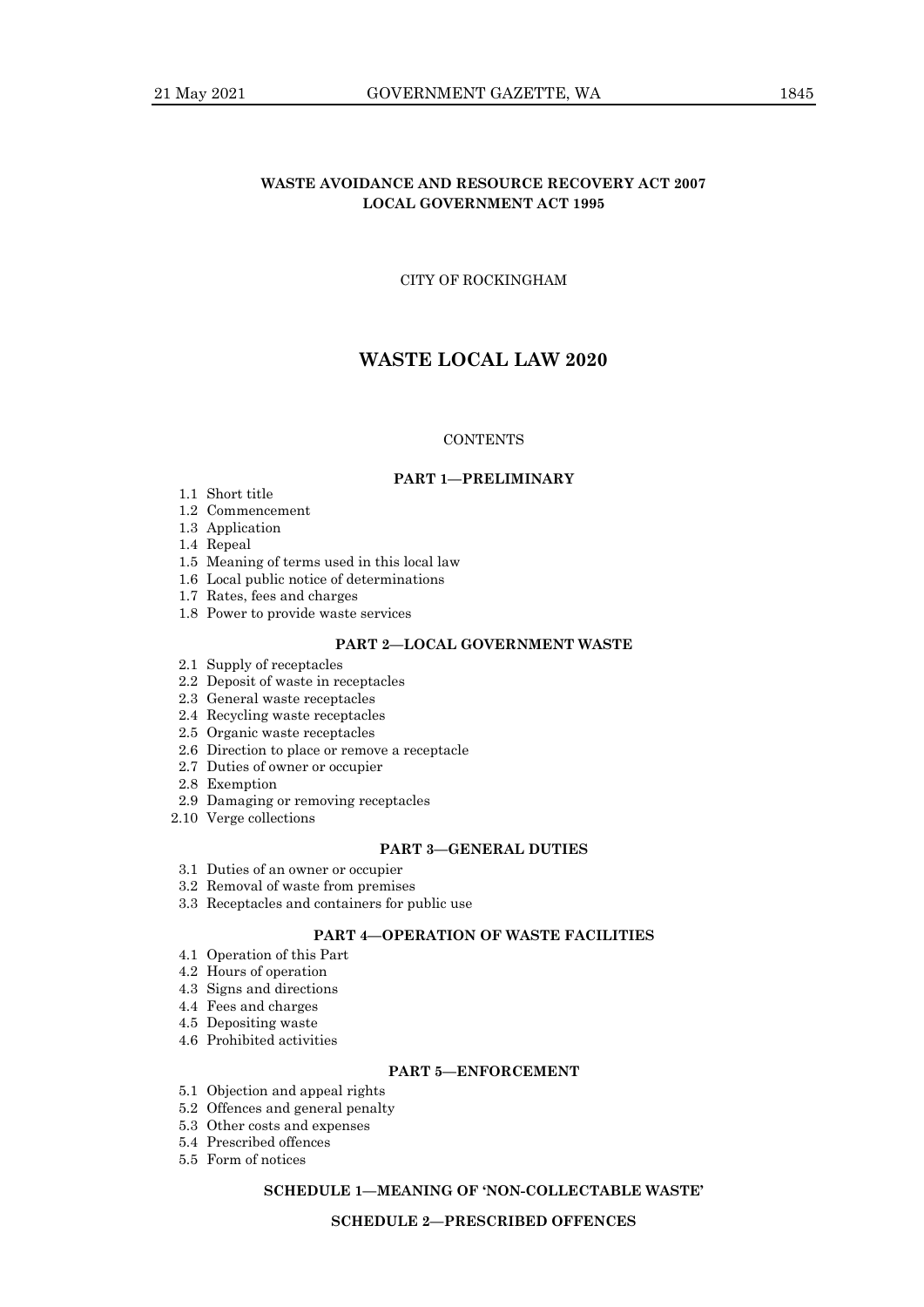## **WASTE AVOIDANCE AND RESOURCE RECOVERY ACT 2007 LOCAL GOVERNMENT ACT 1995**

## CITY OF ROCKINGHAM

# **WASTE LOCAL LAW 2020**

#### **CONTENTS**

#### **PART 1—PRELIMINARY**

- 1.1 Short title
- 1.2 Commencement
- 1.3 Application
- 1.4 Repeal
- 1.5 Meaning of terms used in this local law
- 1.6 Local public notice of determinations
- 1.7 Rates, fees and charges
- 1.8 Power to provide waste services

### **PART 2—LOCAL GOVERNMENT WASTE**

- 2.1 Supply of receptacles
- 2.2 Deposit of waste in receptacles
- 2.3 General waste receptacles
- 2.4 Recycling waste receptacles
- 2.5 Organic waste receptacles
- 2.6 Direction to place or remove a receptacle
- 2.7 Duties of owner or occupier
- 2.8 Exemption
- 2.9 Damaging or removing receptacles
- 2.10 Verge collections

#### **PART 3—GENERAL DUTIES**

- 3.1 Duties of an owner or occupier
- 3.2 Removal of waste from premises
- 3.3 Receptacles and containers for public use

## **PART 4—OPERATION OF WASTE FACILITIES**

- 4.1 Operation of this Part
- 4.2 Hours of operation
- 4.3 Signs and directions
- 4.4 Fees and charges
- 4.5 Depositing waste
- 4.6 Prohibited activities

#### **PART 5—ENFORCEMENT**

- 5.1 Objection and appeal rights
- 5.2 Offences and general penalty
- 5.3 Other costs and expenses
- 5.4 Prescribed offences
- 5.5 Form of notices

## **SCHEDULE 1—MEANING OF 'NON-COLLECTABLE WASTE'**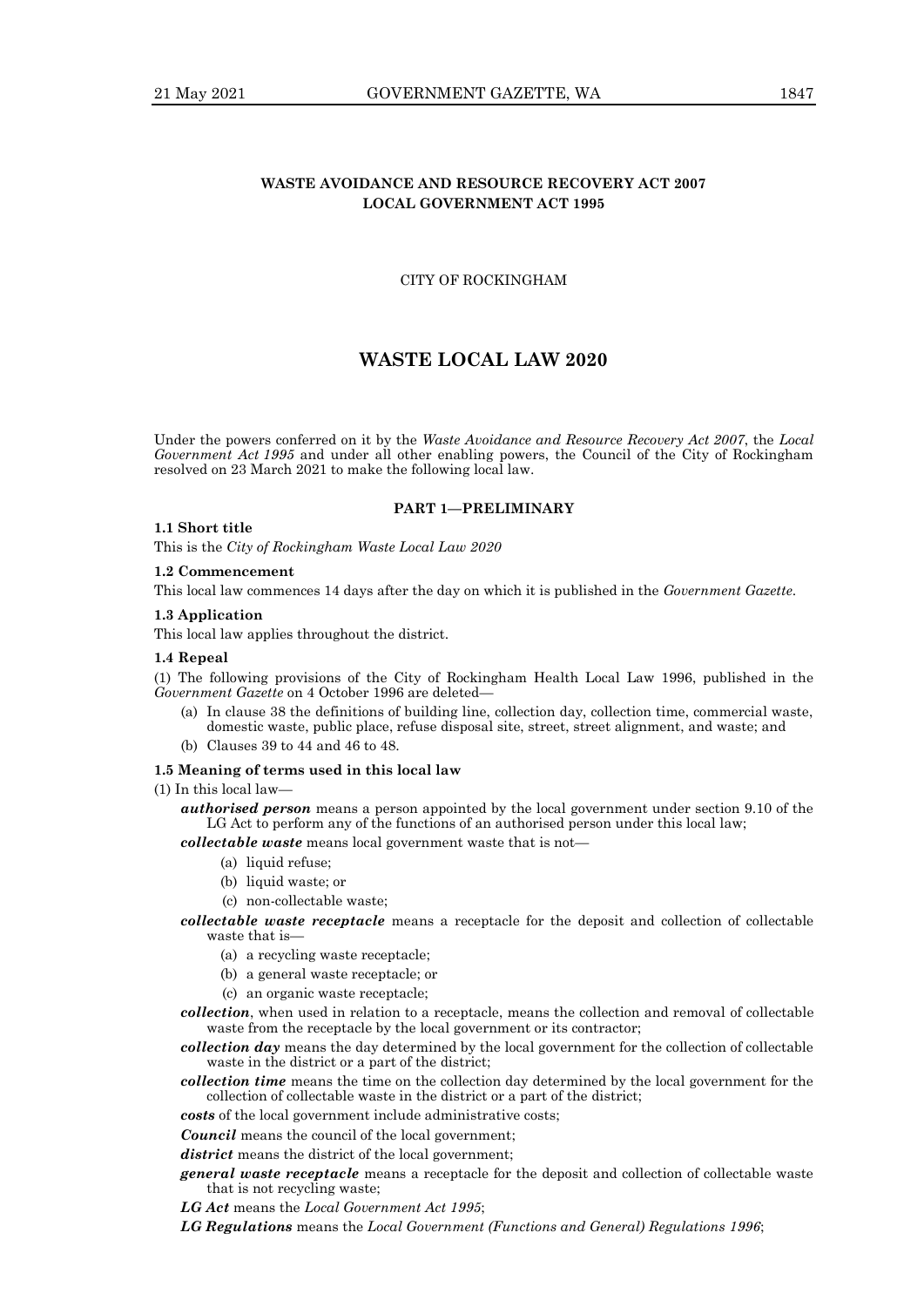## **WASTE AVOIDANCE AND RESOURCE RECOVERY ACT 2007 LOCAL GOVERNMENT ACT 1995**

## CITY OF ROCKINGHAM

# **WASTE LOCAL LAW 2020**

Under the powers conferred on it by the *Waste Avoidance and Resource Recovery Act 2007*, the *Local Government Act 1995* and under all other enabling powers, the Council of the City of Rockingham resolved on 23 March 2021 to make the following local law.

#### **PART 1—PRELIMINARY**

#### **1.1 Short title**

This is the *City of Rockingham Waste Local Law 2020*

## **1.2 Commencement**

This local law commences 14 days after the day on which it is published in the *Government Gazette*.

#### **1.3 Application**

This local law applies throughout the district.

#### **1.4 Repeal**

(1) The following provisions of the City of Rockingham Health Local Law 1996, published in the *Government Gazette* on 4 October 1996 are deleted—

- (a) In clause 38 the definitions of building line, collection day, collection time, commercial waste, domestic waste, public place, refuse disposal site, street, street alignment, and waste; and
- (b) Clauses 39 to 44 and 46 to 48.

#### **1.5 Meaning of terms used in this local law**

(1) In this local law—

*authorised person* means a person appointed by the local government under section 9.10 of the LG Act to perform any of the functions of an authorised person under this local law;

*collectable waste* means local government waste that is not—

- (a) liquid refuse;
- (b) liquid waste; or
- (c) non-collectable waste;
- *collectable waste receptacle* means a receptacle for the deposit and collection of collectable waste that is-
	- (a) a recycling waste receptacle;
	- (b) a general waste receptacle; or
	- (c) an organic waste receptacle;
- *collection*, when used in relation to a receptacle, means the collection and removal of collectable waste from the receptacle by the local government or its contractor;

*collection day* means the day determined by the local government for the collection of collectable waste in the district or a part of the district;

- *collection time* means the time on the collection day determined by the local government for the collection of collectable waste in the district or a part of the district;
- *costs* of the local government include administrative costs;

*Council* means the council of the local government;

*district* means the district of the local government;

- *general waste receptacle* means a receptacle for the deposit and collection of collectable waste that is not recycling waste;
- *LG Act* means the *Local Government Act 1995*;

*LG Regulations* means the *Local Government (Functions and General) Regulations 1996*;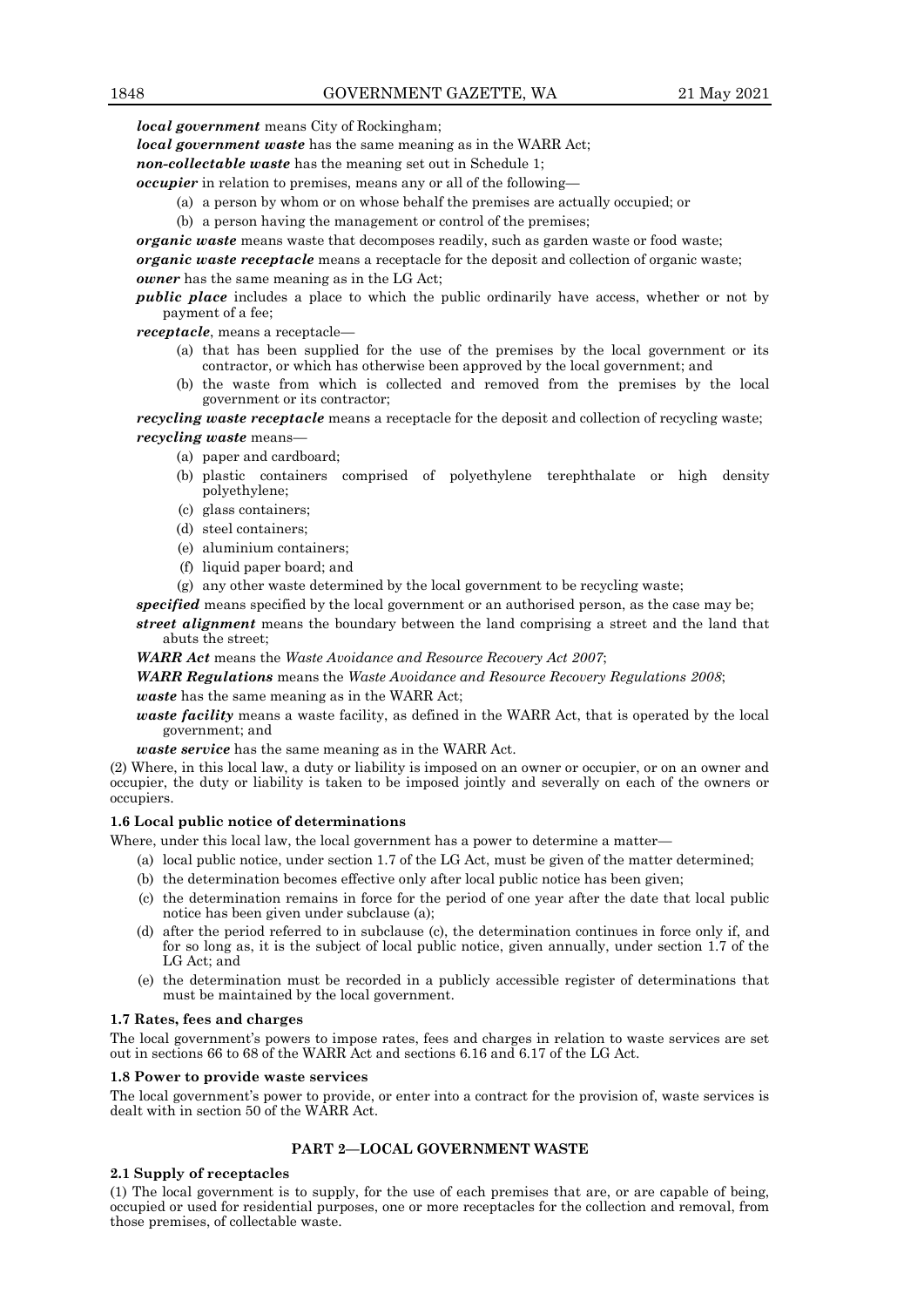*local government* means City of Rockingham;

*local government waste* has the same meaning as in the WARR Act;

*non-collectable waste* has the meaning set out in Schedule 1;

*occupier* in relation to premises, means any or all of the following—

- (a) a person by whom or on whose behalf the premises are actually occupied; or
- (b) a person having the management or control of the premises;

*organic waste* means waste that decomposes readily, such as garden waste or food waste;

*organic waste receptacle* means a receptacle for the deposit and collection of organic waste; *owner* has the same meaning as in the LG Act;

*public place* includes a place to which the public ordinarily have access, whether or not by payment of a fee;

*receptacle*, means a receptacle—

- (a) that has been supplied for the use of the premises by the local government or its contractor, or which has otherwise been approved by the local government; and
- (b) the waste from which is collected and removed from the premises by the local government or its contractor;

*recycling waste receptacle* means a receptacle for the deposit and collection of recycling waste; *recycling waste* means—

- (a) paper and cardboard;
- (b) plastic containers comprised of polyethylene terephthalate or high density polyethylene;
- (c) glass containers;
- (d) steel containers;
- (e) aluminium containers;
- (f) liquid paper board; and
- (g) any other waste determined by the local government to be recycling waste;

*specified* means specified by the local government or an authorised person, as the case may be; *street alignment* means the boundary between the land comprising a street and the land that

abuts the street;

*WARR Act* means the *Waste Avoidance and Resource Recovery Act 2007*;

*WARR Regulations* means the *Waste Avoidance and Resource Recovery Regulations 2008*; *waste* has the same meaning as in the WARR Act;

*waste facility* means a waste facility, as defined in the WARR Act, that is operated by the local government; and

*waste service* has the same meaning as in the WARR Act.

(2) Where, in this local law, a duty or liability is imposed on an owner or occupier, or on an owner and occupier, the duty or liability is taken to be imposed jointly and severally on each of the owners or occupiers.

#### **1.6 Local public notice of determinations**

Where, under this local law, the local government has a power to determine a matter—

- (a) local public notice, under section 1.7 of the LG Act, must be given of the matter determined;
- (b) the determination becomes effective only after local public notice has been given;
- (c) the determination remains in force for the period of one year after the date that local public notice has been given under subclause (a);
- (d) after the period referred to in subclause (c), the determination continues in force only if, and for so long as, it is the subject of local public notice, given annually, under section 1.7 of the LG Act; and
- (e) the determination must be recorded in a publicly accessible register of determinations that must be maintained by the local government.

#### **1.7 Rates, fees and charges**

The local government's powers to impose rates, fees and charges in relation to waste services are set out in sections 66 to 68 of the WARR Act and sections 6.16 and 6.17 of the LG Act.

#### **1.8 Power to provide waste services**

The local government's power to provide, or enter into a contract for the provision of, waste services is dealt with in section 50 of the WARR Act.

#### **PART 2—LOCAL GOVERNMENT WASTE**

#### **2.1 Supply of receptacles**

(1) The local government is to supply, for the use of each premises that are, or are capable of being, occupied or used for residential purposes, one or more receptacles for the collection and removal, from those premises, of collectable waste.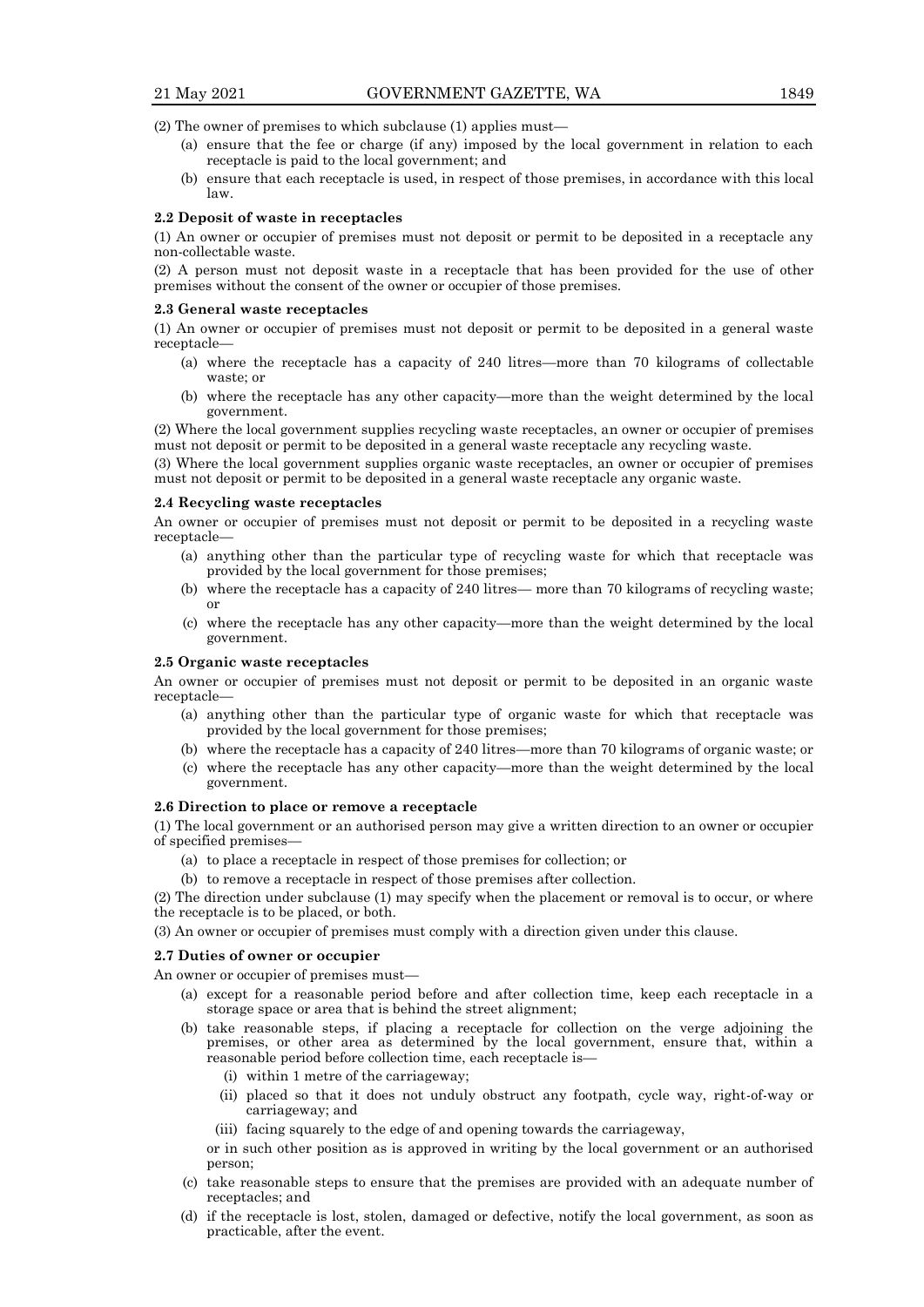(2) The owner of premises to which subclause (1) applies must—

- (a) ensure that the fee or charge (if any) imposed by the local government in relation to each receptacle is paid to the local government; and
- (b) ensure that each receptacle is used, in respect of those premises, in accordance with this local law.

#### **2.2 Deposit of waste in receptacles**

(1) An owner or occupier of premises must not deposit or permit to be deposited in a receptacle any non-collectable waste.

(2) A person must not deposit waste in a receptacle that has been provided for the use of other premises without the consent of the owner or occupier of those premises.

#### **2.3 General waste receptacles**

(1) An owner or occupier of premises must not deposit or permit to be deposited in a general waste receptacle—

- (a) where the receptacle has a capacity of 240 litres—more than 70 kilograms of collectable waste; or
- (b) where the receptacle has any other capacity—more than the weight determined by the local government.

(2) Where the local government supplies recycling waste receptacles, an owner or occupier of premises must not deposit or permit to be deposited in a general waste receptacle any recycling waste.

(3) Where the local government supplies organic waste receptacles, an owner or occupier of premises must not deposit or permit to be deposited in a general waste receptacle any organic waste.

#### **2.4 Recycling waste receptacles**

An owner or occupier of premises must not deposit or permit to be deposited in a recycling waste receptacle—

- (a) anything other than the particular type of recycling waste for which that receptacle was provided by the local government for those premises;
- (b) where the receptacle has a capacity of 240 litres— more than 70 kilograms of recycling waste; or
- (c) where the receptacle has any other capacity—more than the weight determined by the local government.

#### **2.5 Organic waste receptacles**

An owner or occupier of premises must not deposit or permit to be deposited in an organic waste receptacle—

- (a) anything other than the particular type of organic waste for which that receptacle was provided by the local government for those premises;
- (b) where the receptacle has a capacity of 240 litres—more than 70 kilograms of organic waste; or
- (c) where the receptacle has any other capacity—more than the weight determined by the local government.

#### **2.6 Direction to place or remove a receptacle**

(1) The local government or an authorised person may give a written direction to an owner or occupier of specified premises—

- (a) to place a receptacle in respect of those premises for collection; or
- (b) to remove a receptacle in respect of those premises after collection.

(2) The direction under subclause (1) may specify when the placement or removal is to occur, or where the receptacle is to be placed, or both.

(3) An owner or occupier of premises must comply with a direction given under this clause.

#### **2.7 Duties of owner or occupier**

An owner or occupier of premises must—

- (a) except for a reasonable period before and after collection time, keep each receptacle in a storage space or area that is behind the street alignment;
- (b) take reasonable steps, if placing a receptacle for collection on the verge adjoining the premises, or other area as determined by the local government, ensure that, within a reasonable period before collection time, each receptacle is—
	- (i) within 1 metre of the carriageway;
	- (ii) placed so that it does not unduly obstruct any footpath, cycle way, right-of-way or carriageway; and
	- (iii) facing squarely to the edge of and opening towards the carriageway,

or in such other position as is approved in writing by the local government or an authorised person;

- (c) take reasonable steps to ensure that the premises are provided with an adequate number of receptacles; and
- (d) if the receptacle is lost, stolen, damaged or defective, notify the local government, as soon as practicable, after the event.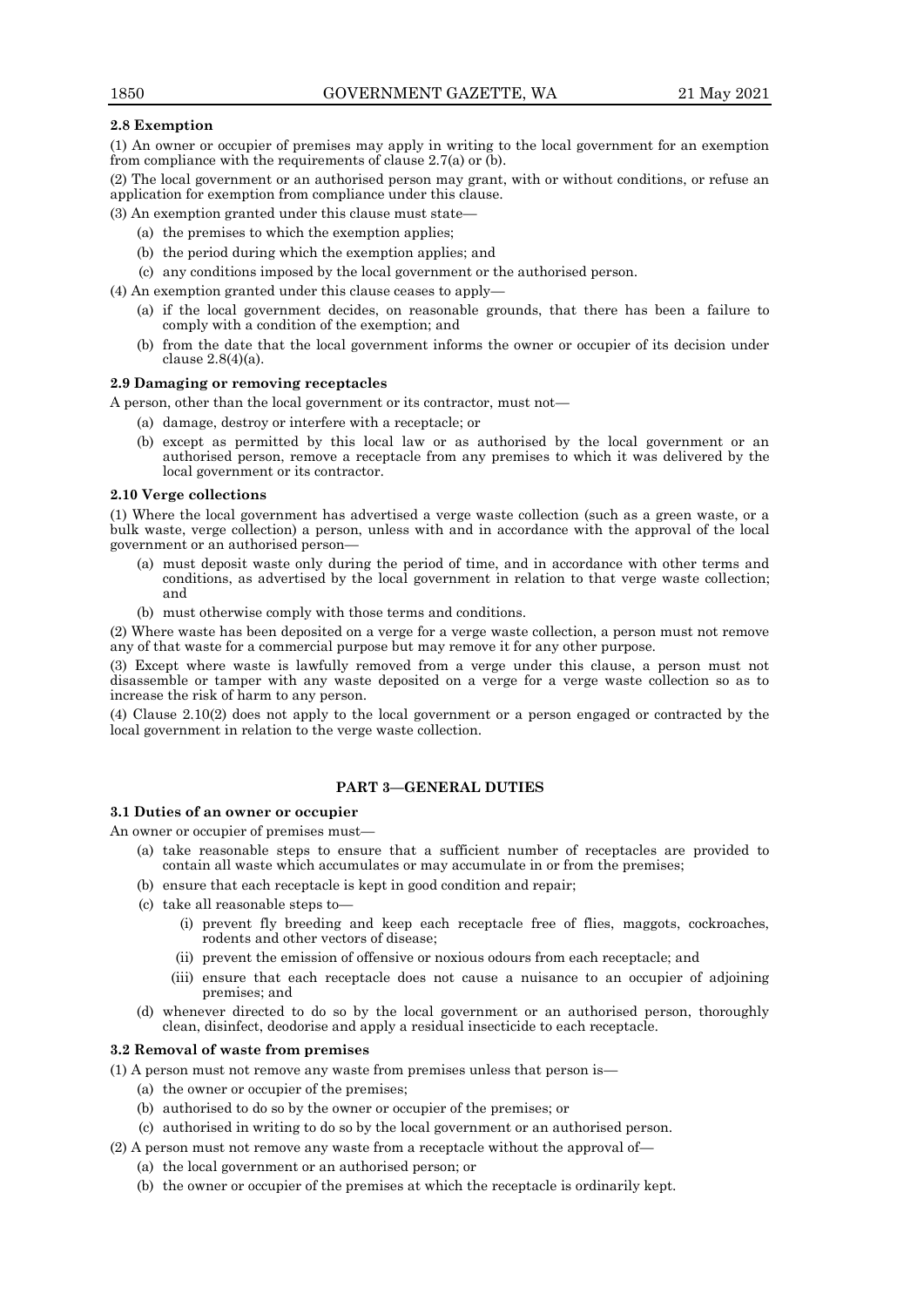## **2.8 Exemption**

(1) An owner or occupier of premises may apply in writing to the local government for an exemption from compliance with the requirements of clause 2.7(a) or (b).

(2) The local government or an authorised person may grant, with or without conditions, or refuse an application for exemption from compliance under this clause.

(3) An exemption granted under this clause must state—

- (a) the premises to which the exemption applies;
- (b) the period during which the exemption applies; and
- (c) any conditions imposed by the local government or the authorised person.
- (4) An exemption granted under this clause ceases to apply—
	- (a) if the local government decides, on reasonable grounds, that there has been a failure to comply with a condition of the exemption; and
	- (b) from the date that the local government informs the owner or occupier of its decision under clause 2.8(4)(a).

#### **2.9 Damaging or removing receptacles**

A person, other than the local government or its contractor, must not—

- (a) damage, destroy or interfere with a receptacle; or
- (b) except as permitted by this local law or as authorised by the local government or an authorised person, remove a receptacle from any premises to which it was delivered by the local government or its contractor.

#### **2.10 Verge collections**

(1) Where the local government has advertised a verge waste collection (such as a green waste, or a bulk waste, verge collection) a person, unless with and in accordance with the approval of the local government or an authorised person—

- (a) must deposit waste only during the period of time, and in accordance with other terms and conditions, as advertised by the local government in relation to that verge waste collection; and
- (b) must otherwise comply with those terms and conditions.

(2) Where waste has been deposited on a verge for a verge waste collection, a person must not remove any of that waste for a commercial purpose but may remove it for any other purpose.

(3) Except where waste is lawfully removed from a verge under this clause, a person must not disassemble or tamper with any waste deposited on a verge for a verge waste collection so as to increase the risk of harm to any person.

(4) Clause 2.10(2) does not apply to the local government or a person engaged or contracted by the local government in relation to the verge waste collection.

## **PART 3—GENERAL DUTIES**

#### **3.1 Duties of an owner or occupier**

An owner or occupier of premises must—

- (a) take reasonable steps to ensure that a sufficient number of receptacles are provided to contain all waste which accumulates or may accumulate in or from the premises;
- (b) ensure that each receptacle is kept in good condition and repair;
- (c) take all reasonable steps to—
	- (i) prevent fly breeding and keep each receptacle free of flies, maggots, cockroaches, rodents and other vectors of disease;
	- (ii) prevent the emission of offensive or noxious odours from each receptacle; and
	- (iii) ensure that each receptacle does not cause a nuisance to an occupier of adjoining premises; and
- (d) whenever directed to do so by the local government or an authorised person, thoroughly clean, disinfect, deodorise and apply a residual insecticide to each receptacle.

#### **3.2 Removal of waste from premises**

(1) A person must not remove any waste from premises unless that person is—

- (a) the owner or occupier of the premises;
- (b) authorised to do so by the owner or occupier of the premises; or
- (c) authorised in writing to do so by the local government or an authorised person.
- (2) A person must not remove any waste from a receptacle without the approval of—
	- (a) the local government or an authorised person; or
	- (b) the owner or occupier of the premises at which the receptacle is ordinarily kept.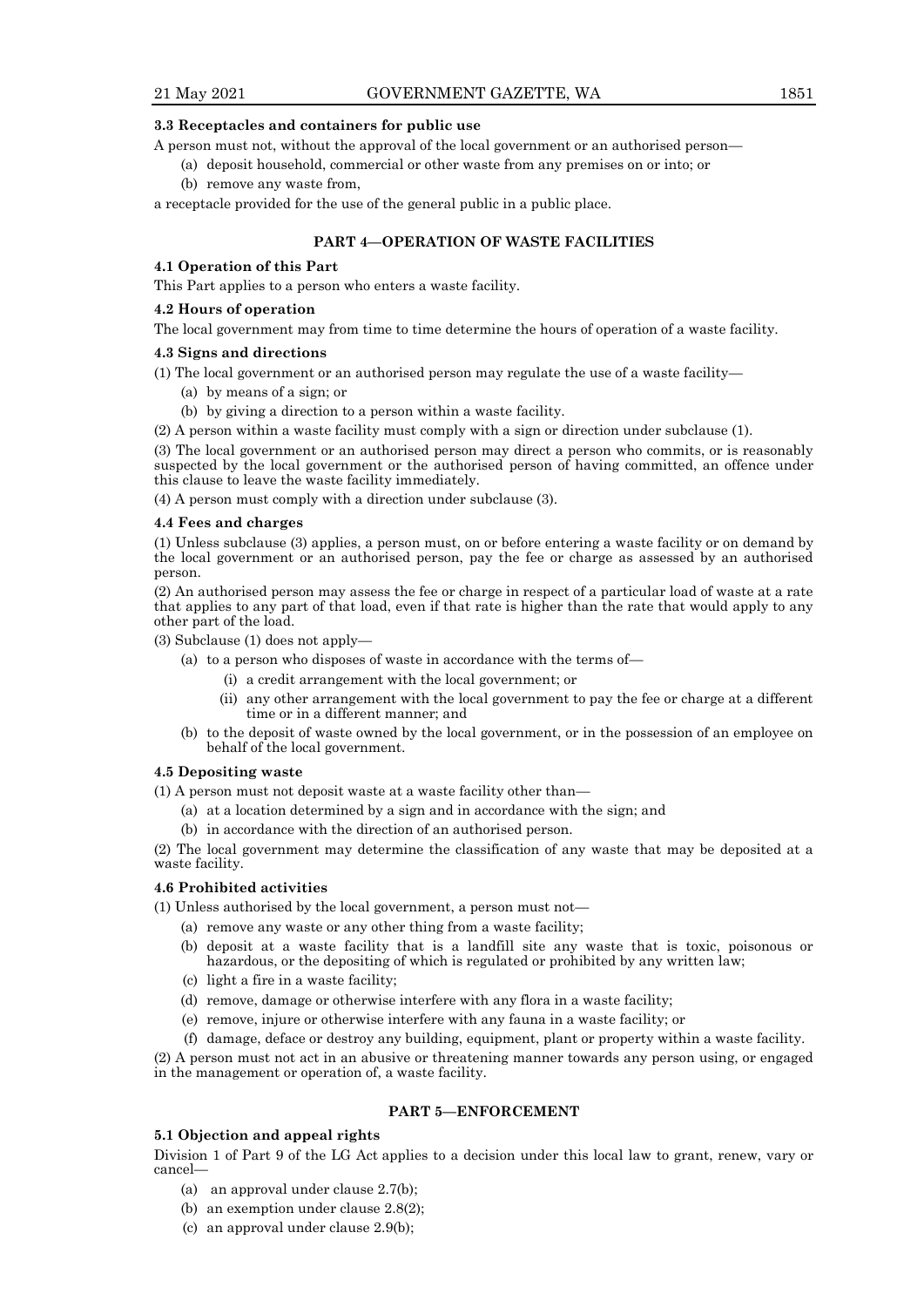#### **3.3 Receptacles and containers for public use**

A person must not, without the approval of the local government or an authorised person—

- (a) deposit household, commercial or other waste from any premises on or into; or
- (b) remove any waste from,

a receptacle provided for the use of the general public in a public place.

### **PART 4—OPERATION OF WASTE FACILITIES**

#### **4.1 Operation of this Part**

This Part applies to a person who enters a waste facility.

#### **4.2 Hours of operation**

The local government may from time to time determine the hours of operation of a waste facility.

#### **4.3 Signs and directions**

(1) The local government or an authorised person may regulate the use of a waste facility—

(a) by means of a sign; or

(b) by giving a direction to a person within a waste facility.

(2) A person within a waste facility must comply with a sign or direction under subclause (1).

(3) The local government or an authorised person may direct a person who commits, or is reasonably suspected by the local government or the authorised person of having committed, an offence under this clause to leave the waste facility immediately.

(4) A person must comply with a direction under subclause (3).

#### **4.4 Fees and charges**

(1) Unless subclause (3) applies, a person must, on or before entering a waste facility or on demand by the local government or an authorised person, pay the fee or charge as assessed by an authorised person.

(2) An authorised person may assess the fee or charge in respect of a particular load of waste at a rate that applies to any part of that load, even if that rate is higher than the rate that would apply to any other part of the load.

(3) Subclause (1) does not apply—

- (a) to a person who disposes of waste in accordance with the terms of—
	- (i) a credit arrangement with the local government; or
	- (ii) any other arrangement with the local government to pay the fee or charge at a different time or in a different manner; and
- (b) to the deposit of waste owned by the local government, or in the possession of an employee on behalf of the local government.

#### **4.5 Depositing waste**

(1) A person must not deposit waste at a waste facility other than—

- (a) at a location determined by a sign and in accordance with the sign; and
- (b) in accordance with the direction of an authorised person.

(2) The local government may determine the classification of any waste that may be deposited at a waste facility.

#### **4.6 Prohibited activities**

(1) Unless authorised by the local government, a person must not—

- (a) remove any waste or any other thing from a waste facility;
- (b) deposit at a waste facility that is a landfill site any waste that is toxic, poisonous or hazardous, or the depositing of which is regulated or prohibited by any written law;
- (c) light a fire in a waste facility;
- (d) remove, damage or otherwise interfere with any flora in a waste facility;
- (e) remove, injure or otherwise interfere with any fauna in a waste facility; or
- (f) damage, deface or destroy any building, equipment, plant or property within a waste facility.

(2) A person must not act in an abusive or threatening manner towards any person using, or engaged in the management or operation of, a waste facility.

## **PART 5—ENFORCEMENT**

#### **5.1 Objection and appeal rights**

Division 1 of Part 9 of the LG Act applies to a decision under this local law to grant, renew, vary or cancel—

- (a) an approval under clause 2.7(b);
- (b) an exemption under clause 2.8(2);
- (c) an approval under clause 2.9(b);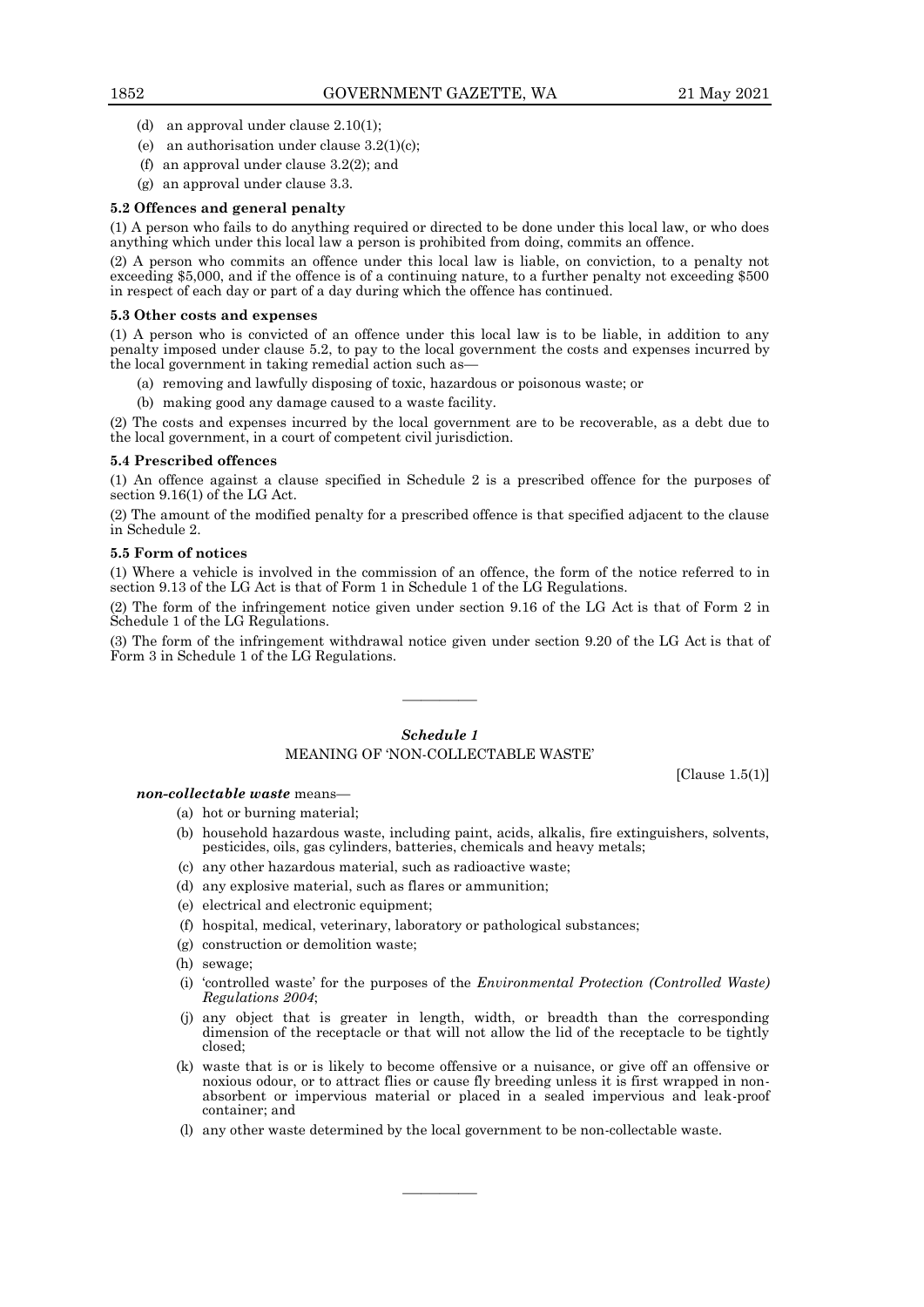- (d) an approval under clause 2.10(1);
- (e) an authorisation under clause  $3.2(1)(c)$ ;
- (f) an approval under clause 3.2(2); and
- (g) an approval under clause 3.3.

#### **5.2 Offences and general penalty**

(1) A person who fails to do anything required or directed to be done under this local law, or who does anything which under this local law a person is prohibited from doing, commits an offence.

(2) A person who commits an offence under this local law is liable, on conviction, to a penalty not exceeding \$5,000, and if the offence is of a continuing nature, to a further penalty not exceeding \$500 in respect of each day or part of a day during which the offence has continued.

#### **5.3 Other costs and expenses**

(1) A person who is convicted of an offence under this local law is to be liable, in addition to any penalty imposed under clause 5.2, to pay to the local government the costs and expenses incurred by the local government in taking remedial action such as—

- (a) removing and lawfully disposing of toxic, hazardous or poisonous waste; or
- (b) making good any damage caused to a waste facility.

(2) The costs and expenses incurred by the local government are to be recoverable, as a debt due to the local government, in a court of competent civil jurisdiction.

#### **5.4 Prescribed offences**

(1) An offence against a clause specified in Schedule 2 is a prescribed offence for the purposes of section 9.16(1) of the LG Act.

(2) The amount of the modified penalty for a prescribed offence is that specified adjacent to the clause in Schedule 2.

#### **5.5 Form of notices**

(1) Where a vehicle is involved in the commission of an offence, the form of the notice referred to in section 9.13 of the LG Act is that of Form 1 in Schedule 1 of the LG Regulations.

(2) The form of the infringement notice given under section 9.16 of the LG Act is that of Form 2 in Schedule 1 of the LG Regulations.

(3) The form of the infringement withdrawal notice given under section 9.20 of the LG Act is that of Form 3 in Schedule 1 of the LG Regulations.

————

#### *Schedule 1*

## MEANING OF 'NON-COLLECTABLE WASTE'

[Clause 1.5(1)]

## *non-collectable waste* means—

- (a) hot or burning material;
- (b) household hazardous waste, including paint, acids, alkalis, fire extinguishers, solvents, pesticides, oils, gas cylinders, batteries, chemicals and heavy metals;
- (c) any other hazardous material, such as radioactive waste;
- (d) any explosive material, such as flares or ammunition;
- (e) electrical and electronic equipment;
- (f) hospital, medical, veterinary, laboratory or pathological substances;
- (g) construction or demolition waste;
- (h) sewage;
- (i) 'controlled waste' for the purposes of the *Environmental Protection (Controlled Waste) Regulations 2004*;
- (j) any object that is greater in length, width, or breadth than the corresponding dimension of the receptacle or that will not allow the lid of the receptacle to be tightly closed;
- (k) waste that is or is likely to become offensive or a nuisance, or give off an offensive or noxious odour, or to attract flies or cause fly breeding unless it is first wrapped in nonabsorbent or impervious material or placed in a sealed impervious and leak-proof container; and
- (l) any other waste determined by the local government to be non-collectable waste.

————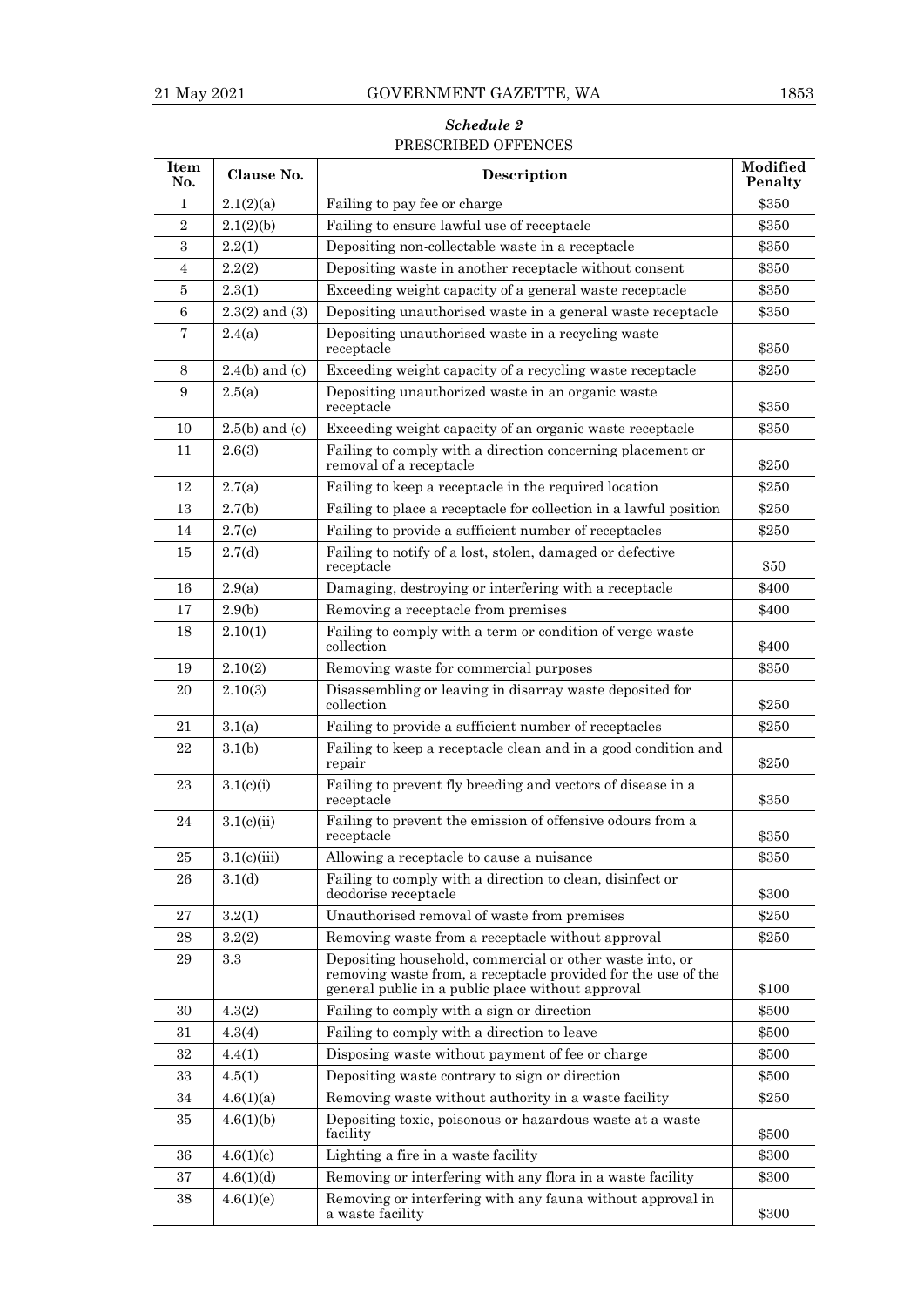## *Schedule 2* PRESCRIBED OFFENCES

| Item<br>No.    | Clause No.         | Description                                                                                                                                                                    | Modified<br>Penalty |
|----------------|--------------------|--------------------------------------------------------------------------------------------------------------------------------------------------------------------------------|---------------------|
| 1              | 2.1(2)(a)          | Failing to pay fee or charge                                                                                                                                                   | \$350               |
| $\overline{2}$ | 2.1(2)(b)          | Failing to ensure lawful use of receptacle                                                                                                                                     | \$350               |
| $\,3$          | 2.2(1)             | Depositing non-collectable waste in a receptacle                                                                                                                               | \$350               |
| 4              | 2.2(2)             | Depositing waste in another receptacle without consent                                                                                                                         | \$350               |
| 5              | 2.3(1)             | Exceeding weight capacity of a general waste receptacle                                                                                                                        | \$350               |
| $\,6$          | $2.3(2)$ and $(3)$ | Depositing unauthorised waste in a general waste receptacle                                                                                                                    | \$350               |
| 7              | 2.4(a)             | Depositing unauthorised waste in a recycling waste<br>receptacle                                                                                                               | \$350               |
| 8              | $2.4(b)$ and (c)   | Exceeding weight capacity of a recycling waste receptacle                                                                                                                      | \$250               |
| 9              | 2.5(a)             | Depositing unauthorized waste in an organic waste<br>receptacle                                                                                                                | \$350               |
| 10             | $2.5(b)$ and (c)   | Exceeding weight capacity of an organic waste receptacle                                                                                                                       | \$350               |
| 11             | 2.6(3)             | Failing to comply with a direction concerning placement or<br>removal of a receptacle                                                                                          | \$250               |
| 12             | 2.7(a)             | Failing to keep a receptacle in the required location                                                                                                                          | \$250               |
| 13             | 2.7(b)             | Failing to place a receptacle for collection in a lawful position                                                                                                              | \$250               |
| 14             | 2.7(c)             | Failing to provide a sufficient number of receptacles                                                                                                                          | \$250               |
| 15             | 2.7(d)             | Failing to notify of a lost, stolen, damaged or defective<br>receptacle                                                                                                        | \$50                |
| 16             | 2.9(a)             | Damaging, destroying or interfering with a receptacle                                                                                                                          | \$400               |
| 17             | 2.9(b)             | Removing a receptacle from premises                                                                                                                                            | \$400               |
| 18             | 2.10(1)            | Failing to comply with a term or condition of verge waste<br>collection                                                                                                        | \$400               |
| 19             | 2.10(2)            | Removing waste for commercial purposes                                                                                                                                         | \$350               |
| 20             | 2.10(3)            | Disassembling or leaving in disarray waste deposited for<br>collection                                                                                                         | \$250               |
| 21             | 3.1(a)             | Failing to provide a sufficient number of receptacles                                                                                                                          | \$250               |
| 22             | 3.1(b)             | Failing to keep a receptacle clean and in a good condition and<br>repair                                                                                                       | \$250               |
| 23             | 3.1(c)(i)          | Failing to prevent fly breeding and vectors of disease in a<br>receptacle                                                                                                      | \$350               |
| 24             | 3.1(c)(ii)         | Failing to prevent the emission of offensive odours from a<br>receptacle                                                                                                       | \$350               |
| 25             | 3.1(c)(iii)        | Allowing a receptacle to cause a nuisance                                                                                                                                      | \$350               |
| 26             | 3.1 <sub>d</sub>   | Failing to comply with a direction to clean, disinfect or<br>deodorise receptacle                                                                                              | \$300               |
| 27             | 3.2(1)             | Unauthorised removal of waste from premises                                                                                                                                    | \$250               |
| 28             | 3.2(2)             | Removing waste from a receptacle without approval                                                                                                                              | \$250               |
| 29             | 3.3                | Depositing household, commercial or other waste into, or<br>removing waste from, a receptacle provided for the use of the<br>general public in a public place without approval | \$100               |
| 30             | 4.3(2)             | Failing to comply with a sign or direction                                                                                                                                     | \$500               |
| 31             | 4.3(4)             | Failing to comply with a direction to leave                                                                                                                                    | \$500               |
| 32             | 4.4(1)             | Disposing waste without payment of fee or charge                                                                                                                               | \$500               |
| 33             | 4.5(1)             | Depositing waste contrary to sign or direction                                                                                                                                 | \$500               |
| 34             | 4.6(1)(a)          | Removing waste without authority in a waste facility                                                                                                                           | \$250               |
| 35             | 4.6(1)(b)          | Depositing toxic, poisonous or hazardous waste at a waste<br>facility                                                                                                          | \$500               |
| 36             | 4.6(1)(c)          | Lighting a fire in a waste facility                                                                                                                                            | \$300               |
| 37             | 4.6(1)(d)          | Removing or interfering with any flora in a waste facility                                                                                                                     | \$300               |
| 38             | 4.6(1)(e)          | Removing or interfering with any fauna without approval in<br>a waste facility                                                                                                 | \$300               |